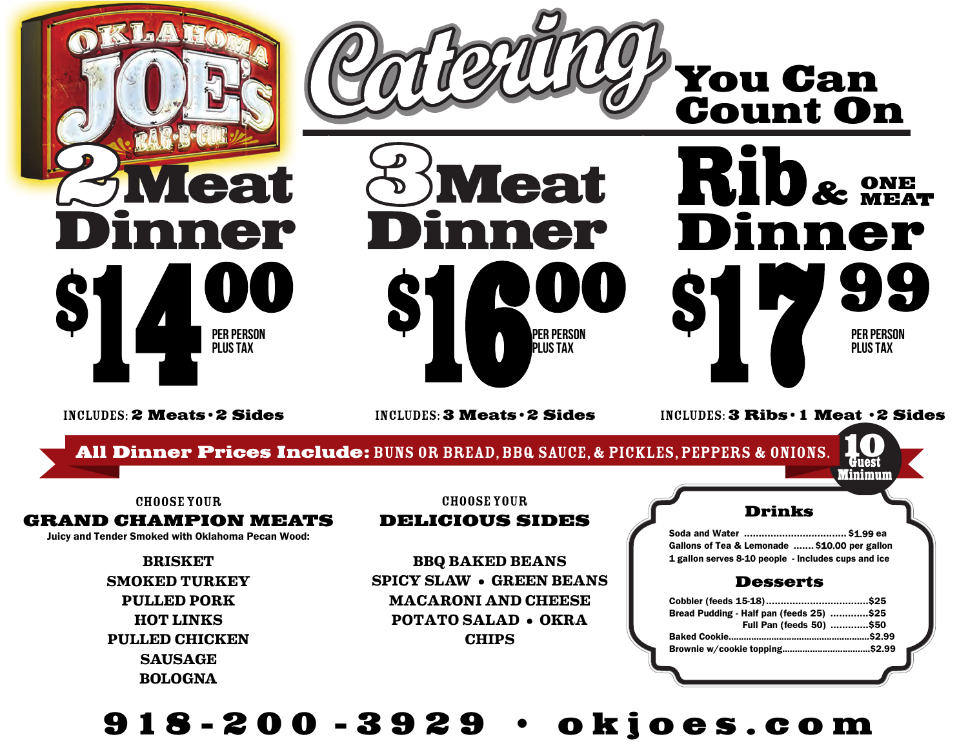

#### CHOOSE YOUR

#### **GRAND CHAMPION MEATS**

Juicy and Tender Smoked with Oklahoma Pecan Wood:

**BRISKET SMOKED TURKEY PULLED PORK HOT LINKS PULLED CHICKEN SAUSAGE BOLOGNA**

**BBQ BAKED BEANS SPICY SLAW • GREEN BEANS MACARONI AND CHEESE POTATO SALAD • OKRA CHIPS**

**DELICIOUS SIDES**

#### **Drinks**

Soda and Water ................................... \$1.99 ea Gallons of Tea & Lemonade .......\$10.00 per gallon 1 gallon serves 8-10 people - Includes cups and ice

#### **Desserts**

| Bread Pudding - Half pan (feeds 25) \$25 |  |
|------------------------------------------|--|
| Full Pan (feeds 50) \$50                 |  |
|                                          |  |
|                                          |  |

# **9 1 8-200 3 929 • R N M oes.com**